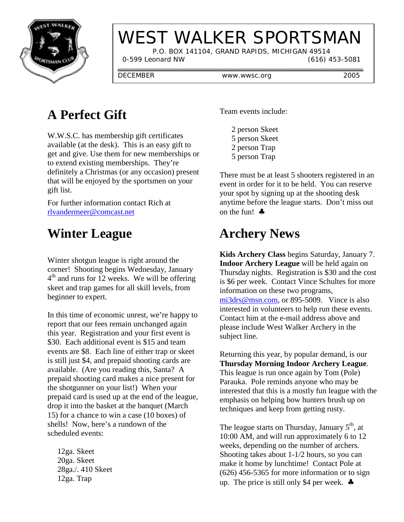

# WEST WALKER SPORTSMAN

 P.O. BOX 141104, GRAND RAPIDS, MICHIGAN 49514 0-599 Leonard NW (616) 453-5081

DECEMBER www.wwsc.org 2005

## **A Perfect Gift**

W.W.S.C. has membership gift certificates available (at the desk). This is an easy gift to get and give. Use them for new memberships or to extend existing memberships. They're definitely a Christmas (or any occasion) present that will be enjoyed by the sportsmen on your gift list.

For further information contact Rich at rlvandermeer@comcast.net

## **Winter League**

Winter shotgun league is right around the corner! Shooting begins Wednesday, January 4<sup>th</sup> and runs for 12 weeks. We will be offering skeet and trap games for all skill levels, from beginner to expert.

In this time of economic unrest, we're happy to report that our fees remain unchanged again this year. Registration and your first event is \$30. Each additional event is \$15 and team events are \$8. Each line of either trap or skeet is still just \$4, and prepaid shooting cards are available. (Are you reading this, Santa? A prepaid shooting card makes a nice present for the shotgunner on your list!) When your prepaid card is used up at the end of the league, drop it into the basket at the banquet (March 15) for a chance to win a case (10 boxes) of shells! Now, here's a rundown of the scheduled events:

 12ga. Skeet 20ga. Skeet 28ga./. 410 Skeet 12ga. Trap

Team events include:

- 2 person Skeet 5 person Skeet 2 person Trap
- 5 person Trap

There must be at least 5 shooters registered in an event in order for it to be held. You can reserve your spot by signing up at the shooting desk anytime before the league starts. Don't miss out on the fun! ♣

#### **Archery News**

**Kids Archery Class** begins Saturday, January 7. **Indoor Archery League** will be held again on Thursday nights. Registration is \$30 and the cost is \$6 per week. Contact Vince Schultes for more information on these two programs, mi3drs@msn.com, or 895-5009. Vince is also interested in volunteers to help run these events. Contact him at the e-mail address above and please include West Walker Archery in the subject line.

Returning this year, by popular demand, is our **Thursday Morning Indoor Archery League**. This league is run once again by Tom (Pole) Parauka. Pole reminds anyone who may be interested that this is a mostly fun league with the emphasis on helping bow hunters brush up on techniques and keep from getting rusty.

The league starts on Thursday, January  $5<sup>th</sup>$ , at 10:00 AM, and will run approximately 6 to 12 weeks, depending on the number of archers. Shooting takes about 1-1/2 hours, so you can make it home by lunchtime! Contact Pole at (626) 456-5365 for more information or to sign up. The price is still only \$4 per week.  $\clubsuit$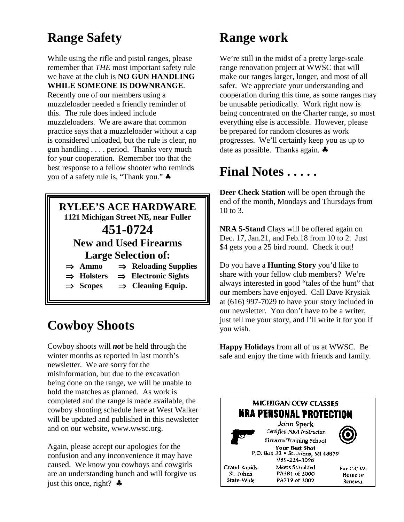## **Range Safety**

While using the rifle and pistol ranges, please remember that *THE* most important safety rule we have at the club is **NO GUN HANDLING WHILE SOMEONE IS DOWNRANGE**. Recently one of our members using a muzzleloader needed a friendly reminder of this. The rule does indeed include muzzleloaders. We are aware that common practice says that a muzzleloader without a cap is considered unloaded, but the rule is clear, no gun handling . . . . period. Thanks very much for your cooperation. Remember too that the best response to a fellow shooter who reminds you of a safety rule is, "Thank you." ♣



## **Cowboy Shoots**

Cowboy shoots will *not* be held through the winter months as reported in last month's newsletter. We are sorry for the misinformation, but due to the excavation being done on the range, we will be unable to hold the matches as planned. As work is completed and the range is made available, the cowboy shooting schedule here at West Walker will be updated and published in this newsletter and on our website, www.wwsc.org.

Again, please accept our apologies for the confusion and any inconvenience it may have caused. We know you cowboys and cowgirls are an understanding bunch and will forgive us just this once, right?  $\clubsuit$ 

#### **Range work**

We're still in the midst of a pretty large-scale range renovation project at WWSC that will make our ranges larger, longer, and most of all safer. We appreciate your understanding and cooperation during this time, as some ranges may be unusable periodically. Work right now is being concentrated on the Charter range, so most everything else is accessible. However, please be prepared for random closures as work progresses. We'll certainly keep you as up to date as possible. Thanks again. ♣

#### **Final Notes . . . . .**

**Deer Check Station** will be open through the end of the month, Mondays and Thursdays from 10 to 3.

**NRA 5-Stand** Clays will be offered again on Dec. 17, Jan.21, and Feb.18 from 10 to 2. Just \$4 gets you a 25 bird round. Check it out!

Do you have a **Hunting Story** you'd like to share with your fellow club members? We're always interested in good "tales of the hunt" that our members have enjoyed. Call Dave Krysiak at (616) 997-7029 to have your story included in our newsletter. You don't have to be a writer, just tell me your story, and I'll write it for you if you wish.

**Happy Holidays** from all of us at WWSC. Be safe and enjoy the time with friends and family.

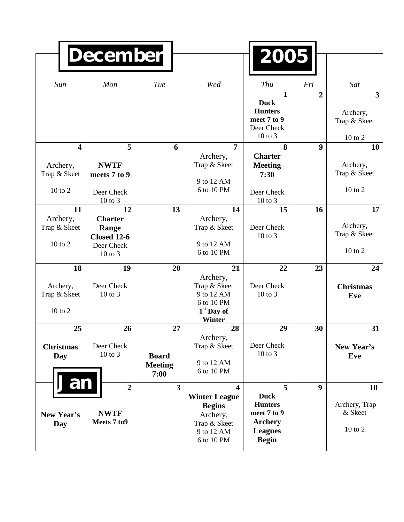|                                                                | <b>December</b>                                                              |                                              |                                                                                                    | 2005                                                                                                  |                  |                                               |
|----------------------------------------------------------------|------------------------------------------------------------------------------|----------------------------------------------|----------------------------------------------------------------------------------------------------|-------------------------------------------------------------------------------------------------------|------------------|-----------------------------------------------|
| Sun                                                            | Mon                                                                          | Tue                                          | Wed                                                                                                | Thu                                                                                                   | Fri              | Sat                                           |
|                                                                |                                                                              |                                              |                                                                                                    | 1<br><b>Duck</b><br><b>Hunters</b><br>meet 7 to 9<br>Deer Check<br>10 to 3                            | $\overline{2}$   | 3<br>Archery,<br>Trap & Skeet<br>$10$ to $2$  |
| $\overline{\mathbf{4}}$<br>Archery,<br>Trap & Skeet<br>10 to 2 | 5<br><b>NWTF</b><br>meets 7 to 9<br>Deer Check<br>10 to 3                    | 6                                            | 7<br>Archery,<br>Trap & Skeet<br>9 to 12 AM<br>6 to 10 PM                                          | 8<br><b>Charter</b><br><b>Meeting</b><br>7:30<br>Deer Check<br>10 to 3                                | $\boldsymbol{9}$ | 10<br>Archery,<br>Trap & Skeet<br>$10$ to $2$ |
| 11<br>Archery,<br>Trap & Skeet<br>10 to 2                      | 12<br><b>Charter</b><br>Range<br><b>Closed 12-6</b><br>Deer Check<br>10 to 3 | 13                                           | 14<br>Archery,<br>Trap & Skeet<br>9 to 12 AM<br>6 to 10 PM                                         | 15<br>Deer Check<br>10 to 3                                                                           | 16               | 17<br>Archery,<br>Trap & Skeet<br>10 to 2     |
| 18<br>Archery,<br>Trap & Skeet<br>10 to 2                      | 19<br>Deer Check<br>10 to 3                                                  | 20                                           | 21<br>Archery,<br>Trap & Skeet<br>9 to 12 AM<br>6 to 10 PM<br>$1st$ Day of<br>Winter               | 22<br>Deer Check<br>10 to 3                                                                           | 23               | 24<br><b>Christmas</b><br>Eve                 |
| 25<br><b>Christmas</b><br>Day                                  | 26<br>Deer Check<br>10 to 3                                                  | 27<br><b>Board</b><br><b>Meeting</b><br>7:00 | 28<br>Archery,<br>Trap & Skeet<br>9 to 12 AM<br>6 to 10 PM                                         | 29<br>Deer Check<br>10 to 3                                                                           | 30               | 31<br>New Year's<br>Eve                       |
| Jan<br>New Year's<br>Day                                       | $\overline{2}$<br><b>NWTF</b><br>Meets 7 to 9                                | $\overline{\mathbf{3}}$                      | 4<br><b>Winter League</b><br><b>Begins</b><br>Archery,<br>Trap & Skeet<br>9 to 12 AM<br>6 to 10 PM | 5<br><b>Duck</b><br><b>Hunters</b><br>meet 7 to 9<br><b>Archery</b><br><b>Leagues</b><br><b>Begin</b> | 9                | 10<br>Archery, Trap<br>& Skeet<br>10 to 2     |